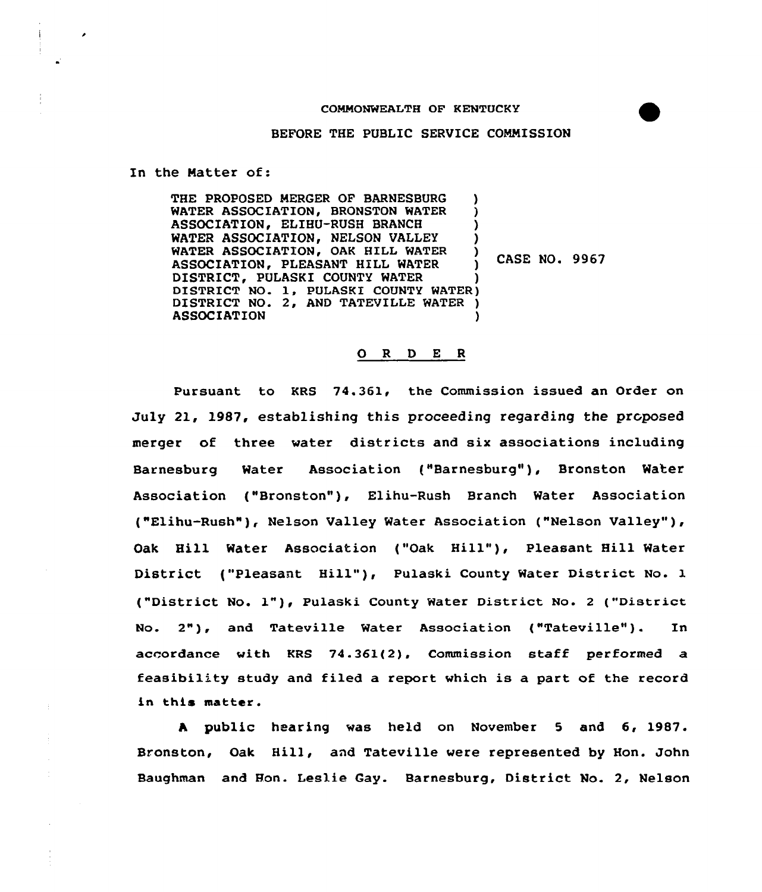## COMMONWEALTH OF K ENTUCKY

## BEFORE THE PUBLIC SERVICE COMMISSION

In the Matter of:

 $\overline{\phantom{a}}$ 

THE PROPOSED MERGER OF BARNESBURG )<br>WATER ASSOCIATION. BRONSTON WATER ) WATER ASSOCIATION, BRONSTON WATER ASSOCIATION, ELIHU-RUSH BRANCH ) WATER ASSOCIATION, NELSON VALLEY WATER ASSOCIATION, OAK HILL WATER CASE NO. 9967 ASSOCIATION, PLEASANT HILL WATER DISTRICT, PULASKI COUNTY WATER DISTRICT NO. 1, PULASKI COUNTY WATER) DISTRICT NO. 2, AND TATEVILLE WATER )<br>ASSOCIATION **ASSOCIATION** 

## 0 <sup>R</sup> <sup>D</sup> <sup>E</sup> <sup>R</sup>

Pursuant to KRS 74.361, the Commission issued an Order on July 21, 1987, establishing this proceeding regarding the proposed merger of three water districts and six associations including Barnesburg Mater Association ("Barnesburg"), Bronston Water Association ("Bronston"), Elihu-Rush Branch Water Association ("Elihu-Rush" ), Nelson Valley Water Association ("Nelson Valley" ), Oak Bill Water Association ("Oak Hill" ), Pleasant Hill Water District ("Pleasant Hill"), Pulaski County Water District No. 1 ("District No. 1")< pulaski county water District No. <sup>2</sup> ("District No. 2"), and Tateville Water Association ("Tateville"). In accordance with KRS 74.361(2), Commission staff performed feasibility study and filed a report which is a part of the record in this matter.

<sup>A</sup> public hearing was held on November <sup>5</sup> and 6, 1987. Bronston, Oak Hill, and Tateville were represented by Hon. John Baughman and Hon. Leslie Gay. Barnesburg, District No. 2, Nelson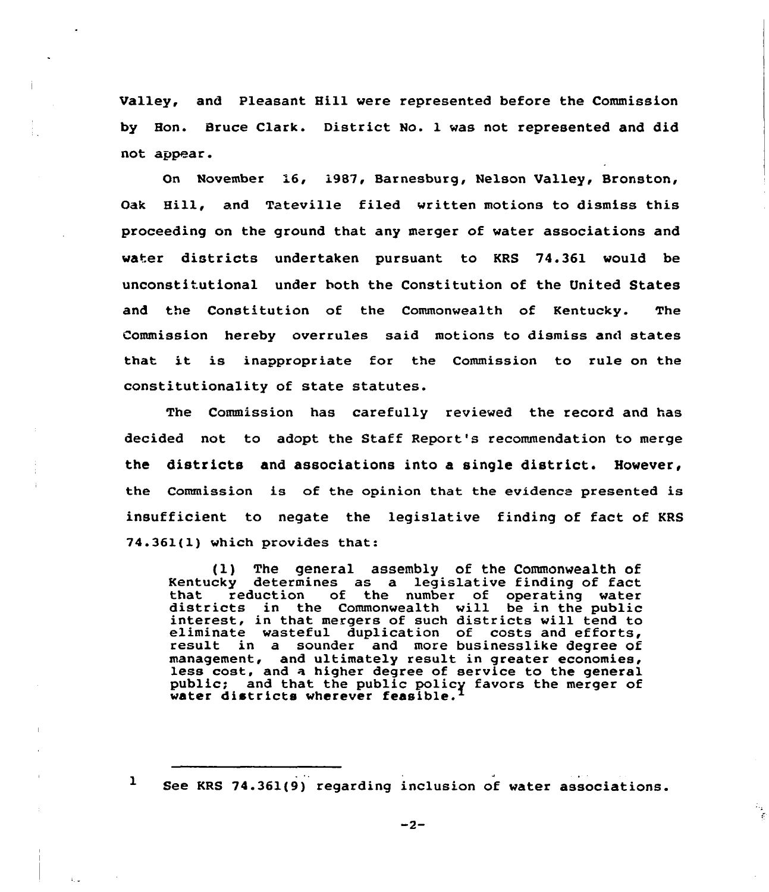Valley, and Pleasant Hill were represented before the Commission by Hon. Bruce Clark. District No. l was not represented and did not appear.

On November 16, 1987, Barnesburg, Nelson Valley, Bronston, Oak Hill, and Tateville filed written motions to dismiss this proceeding on the ground that any merger of water associations and water districts undertaken pursuant to KRS 74.361 would be unconstitutional under both the Constitution of the United States and the Constitution of the Commonwealth of Kentucky. The Commission hereby overrules said motions to dismiss and states that it is inappropriate for the Commission to rule on the constitutionality of state statutes.

The Commission has carefully reviewed the record and has decided not to adopt the Staff Report's recommendation to merge the districts and associations into a single district. However, the Commission is of the opinion that the evidence presented is insufficient to negate the legislative finding of fact of KRS 74.361(l) which provides that:

(1) The general assembly of the Commonwealth of Kentucky determines as a legislative finding of fact that reduction of the number of operating water<br>districts in the Commonwealth will be in the public<br>interest, in that mergers of such districts will tend to<br>eliminate wasteful duplication of costs and efforts,<br>result in a management, and ultimately result in greater economies, less cost, and a higher degree of service to the general public; and that the public policy favors the merger of public; and that the public poil

 $1$  See KRS 74.361(9) regarding inclusion of water associations.

 $-2-$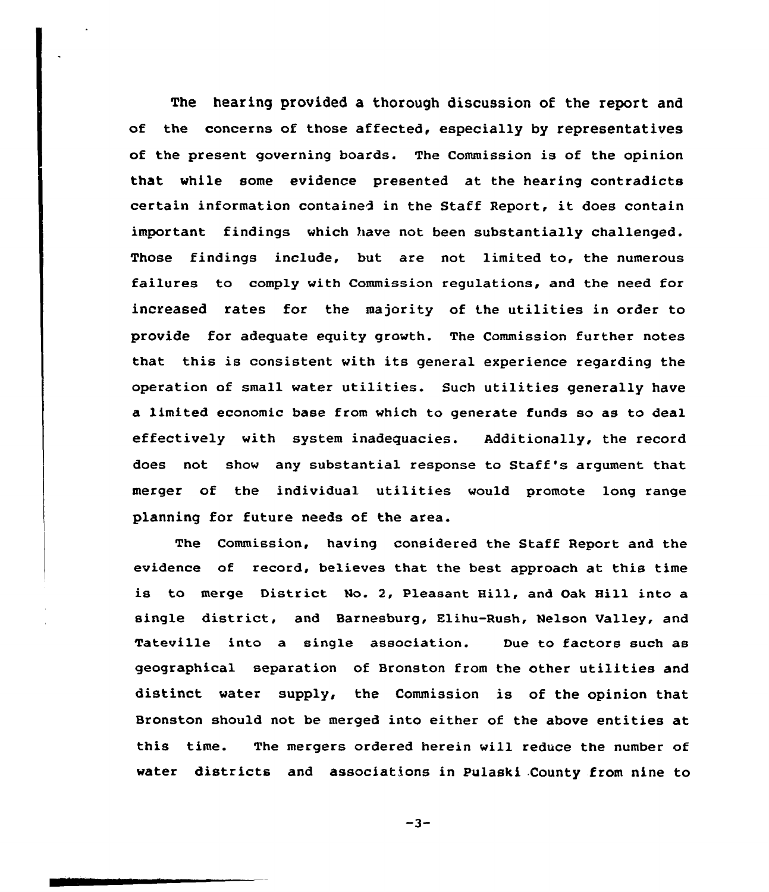The hearing provided a thorough discussion of the report and of the concerns of those affected, especially by representatives of the present governing boards. The Commission is of the opinion that while some evidence presented at the hearing contradicts certain information contained in the Staff Report, it does contain important findings which have not been substantially challenged. Those findings include, but are not limited to, the numerous failures to comply with Commission regulations, and the need for increased rates for the majority of the utilities in order to provide for adequate equity growth. The Commission further notes that this is consistent with its general experience regarding the operation of small water utilities. Such utilities generally have a limited economic base from which to generate funds so as to deal effectively with system inadequacies. Additionally, the record does not show any substantial response to Staff's argument that merger of the individual utilities would promote long range planning for future needs of the area.

The Commission, having considered the Staff Report and the evidence of record, believes that the best approach at this time is to merge District No. 2, Pleasant Hill, and Oak Hill into a single district, and Barnesburg, Elihu-Rush, Nelson Valley, and Tateville into a single association. Due to factors such as geographical separation of Bronston from the other utilities and distinct water supply, the Commission is of the opinion that Bronston should not be merged into either of the above entities at this time. The mergers ordered herein will reduce the number of water districts and associations in Pulaski County from nine to

 $-3-$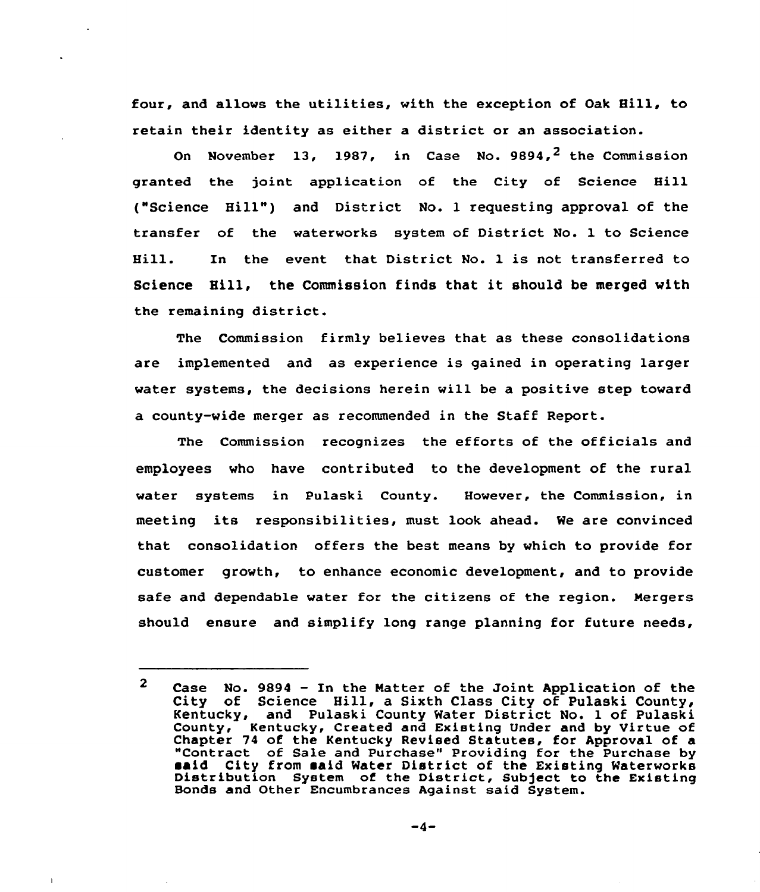four, and allows the utilities, with the exception of Oak Hill, to retain their identity as either a district or an association.

On November 13, 1987, in Case No. 9894,<sup>2</sup> the Commission granted the joint application of the City of Science Hill ("Science Hill") and District No. 1 requesting approval of the transfer of the waterworks system of District No. 1 to Science Hill. In the event that District No. 1 is not transferred to Science Hill, the Commission finds that it should be merged with the remaining district.

The Commission firmly believes that as these consolidations are implemented and as experience is gained in operating larger water systems, the decisions herein will be a positive step toward a county-vide merger as recommended in the Staff Report.

The Commission recognizes the efforts of the officials and employees who have contributed to the development of the rural water systems in Pulaski County. However, the Commission, in meeting its responsibilities, must look ahead. We are convinced that consolidation offers the best means by which to provide for customer growth, to enhance economic development, and to provide safe and dependable vater for the citizens of the region. Mergers should ensure and simplify long range planning for future needs

 $\overline{2}$ Case No. 9894 — In the Matter of the Joint Application of the City of Science Hill, a Sixth Class City of Pulaski County, Kentucky, and Pulaski County Water District No. 1 of Pulaski and Pulaski County Water District No. 1 of Pulaski County, Kentucky, Created and Existing Under and by Virtue of Chapter 74 of the Kentucky Revised Statutes, for Approval of a "Contract of Sa1e and Purchase" Providing for the Purchase by City from said Water District of the Existing Watervorks Distribution System of the District, Subject to the Existing Bonds and Other Encumbrances Against said System.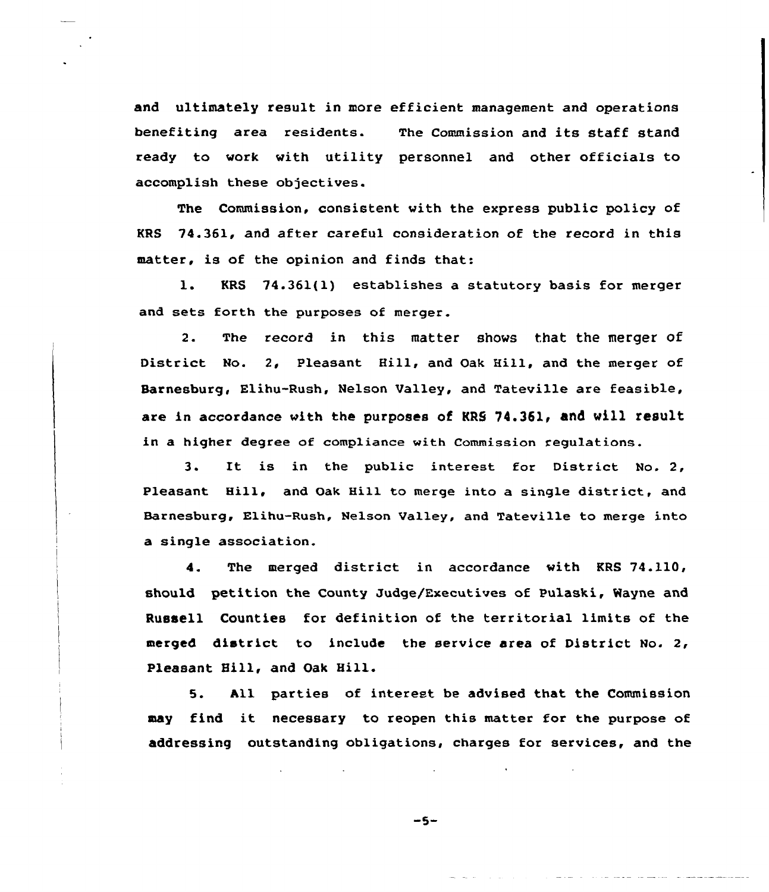and ultimately result in more efficient management and operations benefiting area residents. The Commission and its staff stand ready to work with utility personnel and other officials to accomplish these objectives.

The Commission, consistent with the express public policy of KRS 74.361, and after careful consideration of the record in this matter, is of the opinion and finds that:

1. KRS 74.361{1) establishes <sup>a</sup> statutory basis for merger and sets forth the purposes of merger.

2. The record in this matter shows that the merger of District No. 2, Pleasant Hill, and Oak Hill, and the merger of Barnesburg, Elihu-Rush, Nelson Valley, and Tateville are feasible, are in accordance with the purposes of KRS 74.361, and will result in a higher degree of compliance with Commission regulations.

3. It is in the public interest for District No. 2, Pleasant Hill, and Oak Hill to merge into a single district, and Barnesburg, Elihu-Rush, Nelson Valley, and Tateville to merge into a single association.

4. The merged district in accordance with KRS 74.110, should petition the County Judge/Executives of Pulaski, Wayne and Russell Counties for definition of the territorial limits of the merged district to include the service area of District No. 2, Pleasant Hill, and Oak Hill.

5. All parties of interest be advised that the Commission may find it necessary to reopen this matter for the purpose of addressing outstanding obligations, charges for services, and the

 $-5-$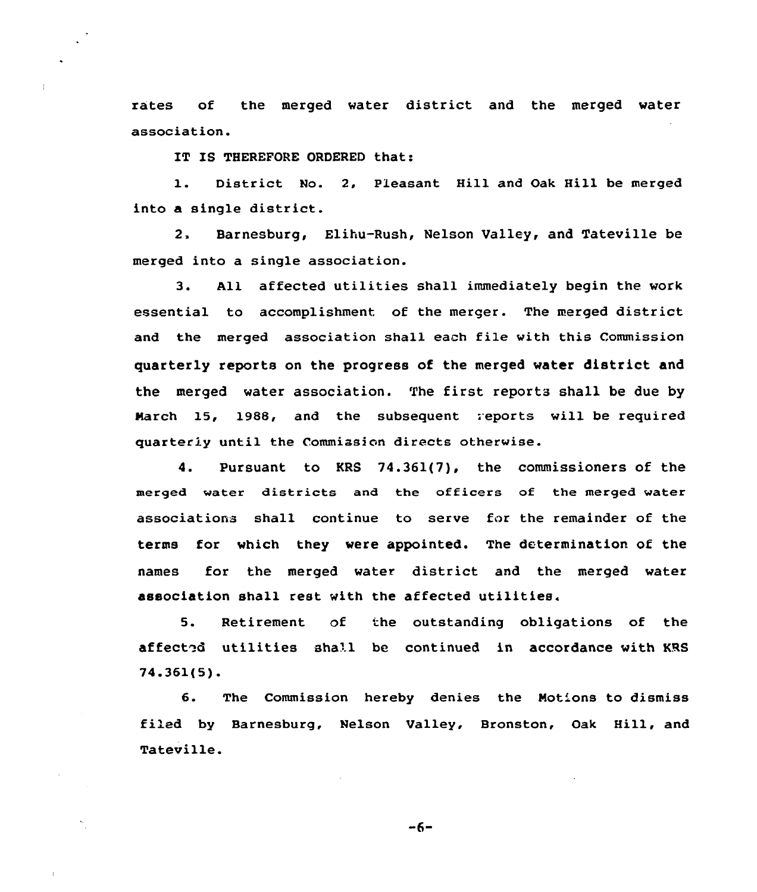rates of the merged water district and the merged water association.

IT IS THEREFORE ORDERED that:

1. District No. 2, Pleasant Hill and Oak Hill be merged into a single district.

2. Barnesburg, Elihu-Rush, Nelson Valley, and Tateville be merged into a single association.

3. All affected utilities shall immediately begin the work essential to accomplishment of the merger. The merged district and the merged association shall each file with this Commission quarterly reports on the progress of the merged vater district and the merged water association. The first reports shall be due by March 15, 1988, and the subsequent reports will be required quarterly until the Commission directs otherwise.

4. Pursuant to KRS 74.361(7), the commissioners of the merged water districts and the officers of the merged water associations shall continue to serve for the remainder of the terms for vhich they were appointed. The determination of the names for the merged water district and the merged water association shall rest vith the affected utilities.

5. Retirement of the outstanding obligations of the affected utilities shall be continued in accordance with KRS 74.361(5).

6. The Commission hereby denies the Notions to dismiss filed by Barnesburg, Nelson Valley, Bronston, Oak Hill, and Tateville.

 $-6-$